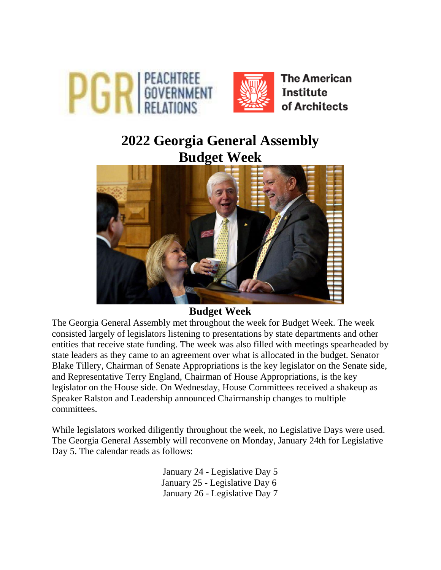

# **2022 Georgia General Assembly Budget Week**



## **Budget Week**

The Georgia General Assembly met throughout the week for Budget Week. The week consisted largely of legislators listening to presentations by state departments and other entities that receive state funding. The week was also filled with meetings spearheaded by state leaders as they came to an agreement over what is allocated in the budget. Senator Blake Tillery, Chairman of Senate Appropriations is the key legislator on the Senate side, and Representative Terry England, Chairman of House Appropriations, is the key legislator on the House side. On Wednesday, House Committees received a shakeup as Speaker Ralston and Leadership announced Chairmanship changes to multiple committees.

While legislators worked diligently throughout the week, no Legislative Days were used. The Georgia General Assembly will reconvene on Monday, January 24th for Legislative Day 5. The calendar reads as follows:

> January 24 - Legislative Day 5 January 25 - Legislative Day 6 January 26 - Legislative Day 7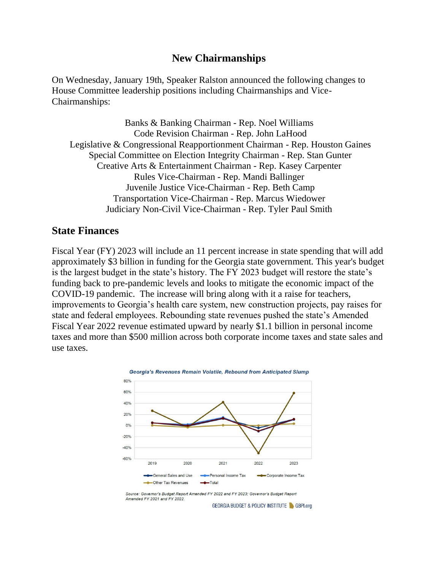#### **New Chairmanships**

On Wednesday, January 19th, Speaker Ralston announced the following changes to House Committee leadership positions including Chairmanships and Vice-Chairmanships:

Banks & Banking Chairman - Rep. Noel Williams Code Revision Chairman - Rep. John LaHood Legislative & Congressional Reapportionment Chairman - Rep. Houston Gaines Special Committee on Election Integrity Chairman - Rep. Stan Gunter Creative Arts & Entertainment Chairman - Rep. Kasey Carpenter Rules Vice-Chairman - Rep. Mandi Ballinger Juvenile Justice Vice-Chairman - Rep. Beth Camp Transportation Vice-Chairman - Rep. Marcus Wiedower Judiciary Non-Civil Vice-Chairman - Rep. Tyler Paul Smith

#### **State Finances**

Fiscal Year (FY) 2023 will include an 11 percent increase in state spending that will add approximately \$3 billion in funding for the Georgia state government. This year's budget is the largest budget in the state's history. The FY 2023 budget will restore the state's funding back to pre-pandemic levels and looks to mitigate the economic impact of the COVID-19 pandemic. The increase will bring along with it a raise for teachers, improvements to Georgia's health care system, new construction projects, pay raises for state and federal employees. Rebounding state revenues pushed the state's Amended Fiscal Year 2022 revenue estimated upward by nearly \$1.1 billion in personal income taxes and more than \$500 million across both corporate income taxes and state sales and use taxes.



Source: Governor's Budget Report Amended FY 2022 and FY 2023; Governor's Budget Report Amended FY 2021 and FY 2022.

**GEORGIA BUDGET & POLICY INSTITUTE & GBPLorg**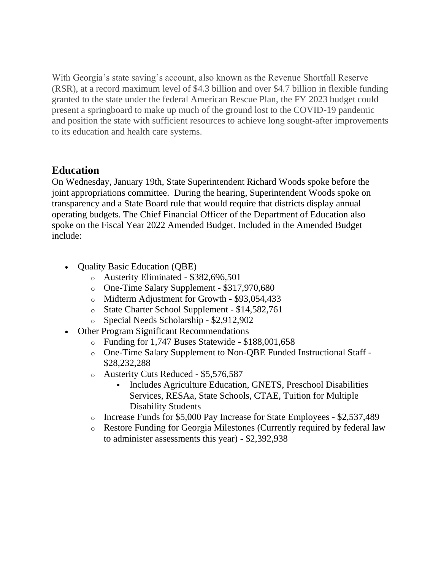With Georgia's state saving's account, also known as the Revenue Shortfall Reserve (RSR), at a record maximum level of \$4.3 billion and over \$4.7 billion in flexible funding granted to the state under the federal American Rescue Plan, the FY 2023 budget could present a springboard to make up much of the ground lost to the COVID-19 pandemic and position the state with sufficient resources to achieve long sought-after improvements to its education and health care systems.

## **Education**

On Wednesday, January 19th, State Superintendent Richard Woods spoke before the joint appropriations committee. During the hearing, Superintendent Woods spoke on transparency and a State Board rule that would require that districts display annual operating budgets. The Chief Financial Officer of the Department of Education also spoke on the Fiscal Year 2022 Amended Budget. Included in the Amended Budget include:

- **Quality Basic Education (QBE)** 
	- o Austerity Eliminated \$382,696,501
	- o One-Time Salary Supplement \$317,970,680
	- o Midterm Adjustment for Growth \$93,054,433
	- o State Charter School Supplement \$14,582,761
	- o Special Needs Scholarship \$2,912,902
- Other Program Significant Recommendations
	- o Funding for 1,747 Buses Statewide \$188,001,658
	- o One-Time Salary Supplement to Non-QBE Funded Instructional Staff \$28,232,288
	- o Austerity Cuts Reduced \$5,576,587
		- Includes Agriculture Education, GNETS, Preschool Disabilities Services, RESAa, State Schools, CTAE, Tuition for Multiple Disability Students
	- o Increase Funds for \$5,000 Pay Increase for State Employees \$2,537,489
	- o Restore Funding for Georgia Milestones (Currently required by federal law to administer assessments this year) - \$2,392,938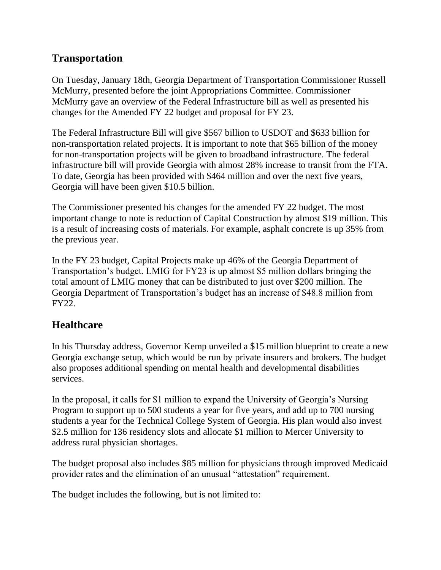# **Transportation**

On Tuesday, January 18th, Georgia Department of Transportation Commissioner Russell McMurry, presented before the joint Appropriations Committee. Commissioner McMurry gave an overview of the Federal Infrastructure bill as well as presented his changes for the Amended FY 22 budget and proposal for FY 23.

The Federal Infrastructure Bill will give \$567 billion to USDOT and \$633 billion for non-transportation related projects. It is important to note that \$65 billion of the money for non-transportation projects will be given to broadband infrastructure. The federal infrastructure bill will provide Georgia with almost 28% increase to transit from the FTA. To date, Georgia has been provided with \$464 million and over the next five years, Georgia will have been given \$10.5 billion.

The Commissioner presented his changes for the amended FY 22 budget. The most important change to note is reduction of Capital Construction by almost \$19 million. This is a result of increasing costs of materials. For example, asphalt concrete is up 35% from the previous year.

In the FY 23 budget, Capital Projects make up 46% of the Georgia Department of Transportation's budget. LMIG for FY23 is up almost \$5 million dollars bringing the total amount of LMIG money that can be distributed to just over \$200 million. The Georgia Department of Transportation's budget has an increase of \$48.8 million from FY22.

## **Healthcare**

In his Thursday address, Governor Kemp unveiled a \$15 million blueprint to create a new Georgia exchange setup, which would be run by private insurers and brokers. The budget also proposes additional spending on mental health and developmental disabilities services.

In the proposal, it calls for \$1 million to expand the University of Georgia's Nursing Program to support up to 500 students a year for five years, and add up to 700 nursing students a year for the Technical College System of Georgia. His plan would also invest \$2.5 million for 136 residency slots and allocate \$1 million to Mercer University to address rural physician shortages.

The budget proposal also includes \$85 million for physicians through improved Medicaid provider rates and the elimination of an unusual "attestation" requirement.

The budget includes the following, but is not limited to: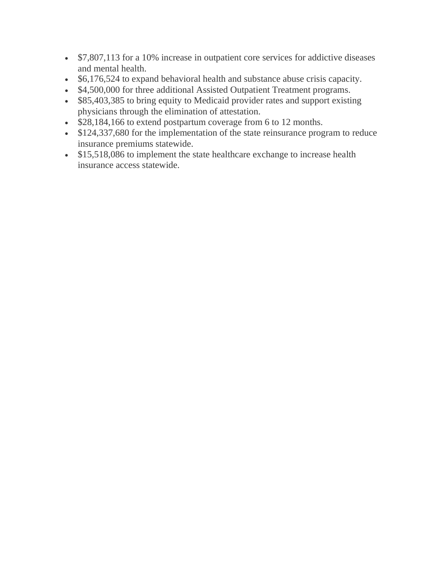- \$7,807,113 for a 10% increase in outpatient core services for addictive diseases and mental health.
- \$6,176,524 to expand behavioral health and substance abuse crisis capacity.
- \$4,500,000 for three additional Assisted Outpatient Treatment programs.
- \$85,403,385 to bring equity to Medicaid provider rates and support existing physicians through the elimination of attestation.
- \$28,184,166 to extend postpartum coverage from 6 to 12 months.
- \$124,337,680 for the implementation of the state reinsurance program to reduce insurance premiums statewide.
- \$15,518,086 to implement the state healthcare exchange to increase health insurance access statewide.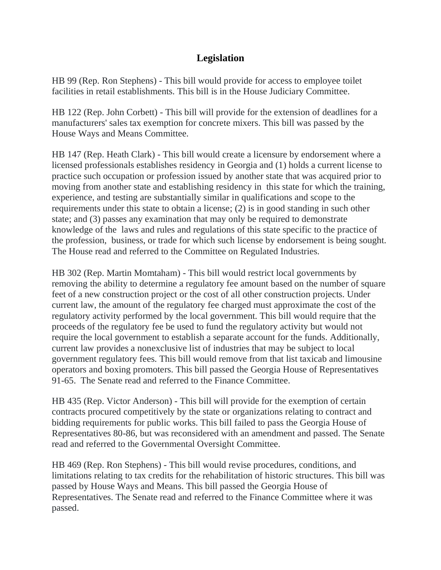### **Legislation**

HB 99 (Rep. Ron Stephens) - This bill would provide for access to employee toilet facilities in retail establishments. This bill is in the House Judiciary Committee.

HB 122 (Rep. John Corbett) - This bill will provide for the extension of deadlines for a manufacturers' sales tax exemption for concrete mixers. This bill was passed by the House Ways and Means Committee.

HB 147 (Rep. Heath Clark) - This bill would create a licensure by endorsement where a licensed professionals establishes residency in Georgia and (1) holds a current license to practice such occupation or profession issued by another state that was acquired prior to moving from another state and establishing residency in this state for which the training, experience, and testing are substantially similar in qualifications and scope to the requirements under this state to obtain a license; (2) is in good standing in such other state; and (3) passes any examination that may only be required to demonstrate knowledge of the laws and rules and regulations of this state specific to the practice of the profession, business, or trade for which such license by endorsement is being sought. The House read and referred to the Committee on Regulated Industries.

HB 302 (Rep. Martin Momtaham) - This bill would restrict local governments by removing the ability to determine a regulatory fee amount based on the number of square feet of a new construction project or the cost of all other construction projects. Under current law, the amount of the regulatory fee charged must approximate the cost of the regulatory activity performed by the local government. This bill would require that the proceeds of the regulatory fee be used to fund the regulatory activity but would not require the local government to establish a separate account for the funds. Additionally, current law provides a nonexclusive list of industries that may be subject to local government regulatory fees. This bill would remove from that list taxicab and limousine operators and boxing promoters. This bill passed the Georgia House of Representatives 91-65. The Senate read and referred to the Finance Committee.

HB 435 (Rep. Victor Anderson) - This bill will provide for the exemption of certain contracts procured competitively by the state or organizations relating to contract and bidding requirements for public works. This bill failed to pass the Georgia House of Representatives 80-86, but was reconsidered with an amendment and passed. The Senate read and referred to the Governmental Oversight Committee.

HB 469 (Rep. Ron Stephens) - This bill would revise procedures, conditions, and limitations relating to tax credits for the rehabilitation of historic structures. This bill was passed by House Ways and Means. This bill passed the Georgia House of Representatives. The Senate read and referred to the Finance Committee where it was passed.